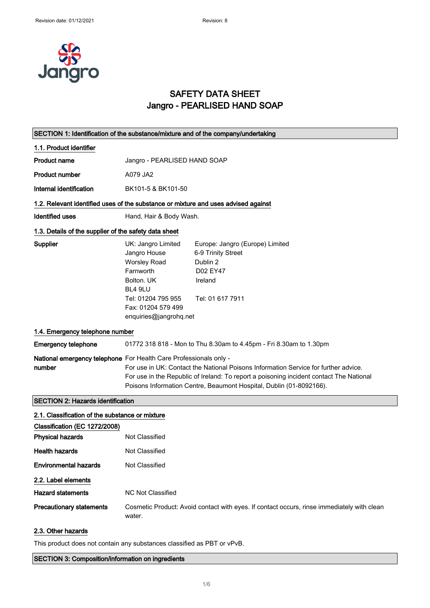

### SAFETY DATA SHEET Jangro - PEARLISED HAND SOAP

| SECTION 1: Identification of the substance/mixture and of the company/undertaking  |                                                                                                                                                                                                                                                                                                                            |                                                                                                              |
|------------------------------------------------------------------------------------|----------------------------------------------------------------------------------------------------------------------------------------------------------------------------------------------------------------------------------------------------------------------------------------------------------------------------|--------------------------------------------------------------------------------------------------------------|
| 1.1. Product identifier                                                            |                                                                                                                                                                                                                                                                                                                            |                                                                                                              |
| <b>Product name</b>                                                                | Jangro - PEARLISED HAND SOAP                                                                                                                                                                                                                                                                                               |                                                                                                              |
| <b>Product number</b>                                                              | A079 JA2                                                                                                                                                                                                                                                                                                                   |                                                                                                              |
| Internal identification                                                            | BK101-5 & BK101-50                                                                                                                                                                                                                                                                                                         |                                                                                                              |
| 1.2. Relevant identified uses of the substance or mixture and uses advised against |                                                                                                                                                                                                                                                                                                                            |                                                                                                              |
| <b>Identified uses</b>                                                             | Hand, Hair & Body Wash.                                                                                                                                                                                                                                                                                                    |                                                                                                              |
| 1.3. Details of the supplier of the safety data sheet                              |                                                                                                                                                                                                                                                                                                                            |                                                                                                              |
| Supplier                                                                           | UK: Jangro Limited<br>Jangro House<br><b>Worsley Road</b><br>Farnworth<br>Bolton, UK<br>BL4 9LU<br>Tel: 01204 795 955<br>Fax: 01204 579 499<br>enquiries@jangrohq.net                                                                                                                                                      | Europe: Jangro (Europe) Limited<br>6-9 Trinity Street<br>Dublin 2<br>D02 EY47<br>Ireland<br>Tel: 01 617 7911 |
| 1.4. Emergency telephone number                                                    |                                                                                                                                                                                                                                                                                                                            |                                                                                                              |
| <b>Emergency telephone</b>                                                         |                                                                                                                                                                                                                                                                                                                            | 01772 318 818 - Mon to Thu 8.30am to 4.45pm - Fri 8.30am to 1.30pm                                           |
| number                                                                             | National emergency telephone For Health Care Professionals only -<br>For use in UK: Contact the National Poisons Information Service for further advice.<br>For use in the Republic of Ireland: To report a poisoning incident contact The National<br>Poisons Information Centre, Beaumont Hospital, Dublin (01-8092166). |                                                                                                              |
| <b>SECTION 2: Hazards identification</b>                                           |                                                                                                                                                                                                                                                                                                                            |                                                                                                              |
| 2.1. Classification of the substance or mixture                                    |                                                                                                                                                                                                                                                                                                                            |                                                                                                              |
| Classification (EC 1272/2008)                                                      |                                                                                                                                                                                                                                                                                                                            |                                                                                                              |
| <b>Physical hazards</b>                                                            | <b>Not Classified</b>                                                                                                                                                                                                                                                                                                      |                                                                                                              |
| <b>Health hazards</b>                                                              | Not Classified                                                                                                                                                                                                                                                                                                             |                                                                                                              |
| <b>Environmental hazards</b>                                                       | Not Classified                                                                                                                                                                                                                                                                                                             |                                                                                                              |
| 2.2. Label elements                                                                |                                                                                                                                                                                                                                                                                                                            |                                                                                                              |
| <b>Hazard statements</b>                                                           | <b>NC Not Classified</b>                                                                                                                                                                                                                                                                                                   |                                                                                                              |
| <b>Precautionary statements</b>                                                    | water.                                                                                                                                                                                                                                                                                                                     | Cosmetic Product: Avoid contact with eyes. If contact occurs, rinse immediately with clean                   |

#### 2.3. Other hazards

This product does not contain any substances classified as PBT or vPvB.

SECTION 3: Composition/information on ingredients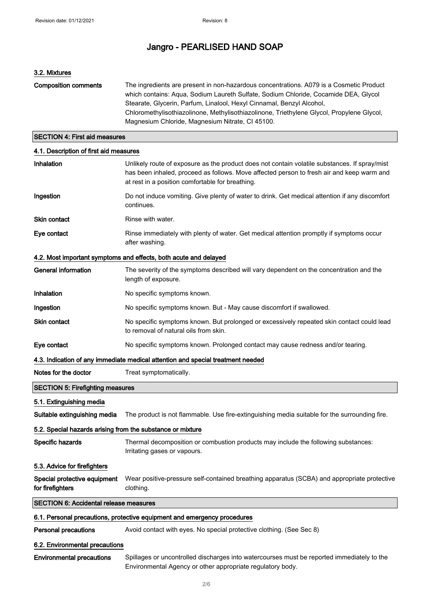### 3.2. Mixtures

| <b>Composition comments</b> | The ingredients are present in non-hazardous concentrations. A079 is a Cosmetic Product<br>which contains: Agua, Sodium Laureth Sulfate, Sodium Chloride, Cocamide DEA, Glycol |
|-----------------------------|--------------------------------------------------------------------------------------------------------------------------------------------------------------------------------|
|                             | Stearate, Glycerin, Parfum, Linalool, Hexyl Cinnamal, Benzyl Alcohol,                                                                                                          |
|                             | Chloromethylisothiazolinone, Methylisothiazolinone, Triethylene Glycol, Propylene Glycol,                                                                                      |
|                             | Magnesium Chloride, Magnesium Nitrate, CI 45100.                                                                                                                               |
|                             |                                                                                                                                                                                |

### SECTION 4: First aid measures

### 4.1. Description of first aid measures

| Inhalation                                                                      | Unlikely route of exposure as the product does not contain volatile substances. If spray/mist<br>has been inhaled, proceed as follows. Move affected person to fresh air and keep warm and<br>at rest in a position comfortable for breathing. |  |
|---------------------------------------------------------------------------------|------------------------------------------------------------------------------------------------------------------------------------------------------------------------------------------------------------------------------------------------|--|
| Ingestion                                                                       | Do not induce vomiting. Give plenty of water to drink. Get medical attention if any discomfort<br>continues.                                                                                                                                   |  |
| Skin contact                                                                    | Rinse with water.                                                                                                                                                                                                                              |  |
| Eye contact                                                                     | Rinse immediately with plenty of water. Get medical attention promptly if symptoms occur<br>after washing.                                                                                                                                     |  |
|                                                                                 | 4.2. Most important symptoms and effects, both acute and delayed                                                                                                                                                                               |  |
| <b>General information</b>                                                      | The severity of the symptoms described will vary dependent on the concentration and the<br>length of exposure.                                                                                                                                 |  |
| Inhalation                                                                      | No specific symptoms known.                                                                                                                                                                                                                    |  |
| Ingestion                                                                       | No specific symptoms known. But - May cause discomfort if swallowed.                                                                                                                                                                           |  |
| Skin contact                                                                    | No specific symptoms known. But prolonged or excessively repeated skin contact could lead<br>to removal of natural oils from skin.                                                                                                             |  |
| Eye contact                                                                     | No specific symptoms known. Prolonged contact may cause redness and/or tearing.                                                                                                                                                                |  |
| 4.3. Indication of any immediate medical attention and special treatment needed |                                                                                                                                                                                                                                                |  |
|                                                                                 |                                                                                                                                                                                                                                                |  |
| Notes for the doctor                                                            | Treat symptomatically.                                                                                                                                                                                                                         |  |
| <b>SECTION 5: Firefighting measures</b>                                         |                                                                                                                                                                                                                                                |  |
| 5.1. Extinguishing media                                                        |                                                                                                                                                                                                                                                |  |
| Suitable extinguishing media                                                    | The product is not flammable. Use fire-extinguishing media suitable for the surrounding fire.                                                                                                                                                  |  |
| 5.2. Special hazards arising from the substance or mixture                      |                                                                                                                                                                                                                                                |  |
| Specific hazards                                                                | Thermal decomposition or combustion products may include the following substances:<br>Irritating gases or vapours.                                                                                                                             |  |
| 5.3. Advice for firefighters                                                    |                                                                                                                                                                                                                                                |  |
| Special protective equipment<br>for firefighters                                | Wear positive-pressure self-contained breathing apparatus (SCBA) and appropriate protective<br>clothing.                                                                                                                                       |  |
| <b>SECTION 6: Accidental release measures</b>                                   |                                                                                                                                                                                                                                                |  |
|                                                                                 | 6.1. Personal precautions, protective equipment and emergency procedures                                                                                                                                                                       |  |
| <b>Personal precautions</b>                                                     | Avoid contact with eyes. No special protective clothing. (See Sec 8)                                                                                                                                                                           |  |
| 6.2. Environmental precautions                                                  |                                                                                                                                                                                                                                                |  |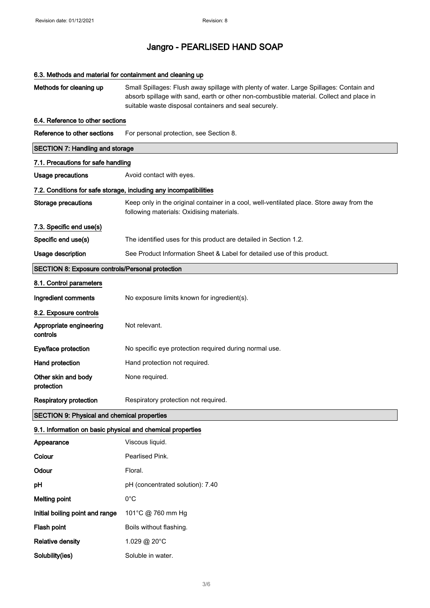## 6.3. Methods and material for containment and cleaning up

| Methods for cleaning up                                    | Small Spillages: Flush away spillage with plenty of water. Large Spillages: Contain and<br>absorb spillage with sand, earth or other non-combustible material. Collect and place in<br>suitable waste disposal containers and seal securely. |  |  |  |  |
|------------------------------------------------------------|----------------------------------------------------------------------------------------------------------------------------------------------------------------------------------------------------------------------------------------------|--|--|--|--|
| 6.4. Reference to other sections                           |                                                                                                                                                                                                                                              |  |  |  |  |
| Reference to other sections                                | For personal protection, see Section 8.                                                                                                                                                                                                      |  |  |  |  |
|                                                            | <b>SECTION 7: Handling and storage</b>                                                                                                                                                                                                       |  |  |  |  |
| 7.1. Precautions for safe handling                         |                                                                                                                                                                                                                                              |  |  |  |  |
| <b>Usage precautions</b>                                   | Avoid contact with eyes.                                                                                                                                                                                                                     |  |  |  |  |
|                                                            | 7.2. Conditions for safe storage, including any incompatibilities                                                                                                                                                                            |  |  |  |  |
| <b>Storage precautions</b>                                 | Keep only in the original container in a cool, well-ventilated place. Store away from the<br>following materials: Oxidising materials.                                                                                                       |  |  |  |  |
| 7.3. Specific end use(s)                                   |                                                                                                                                                                                                                                              |  |  |  |  |
| Specific end use(s)                                        | The identified uses for this product are detailed in Section 1.2.                                                                                                                                                                            |  |  |  |  |
| Usage description                                          | See Product Information Sheet & Label for detailed use of this product.                                                                                                                                                                      |  |  |  |  |
| <b>SECTION 8: Exposure controls/Personal protection</b>    |                                                                                                                                                                                                                                              |  |  |  |  |
| 8.1. Control parameters                                    |                                                                                                                                                                                                                                              |  |  |  |  |
| Ingredient comments                                        | No exposure limits known for ingredient(s).                                                                                                                                                                                                  |  |  |  |  |
| 8.2. Exposure controls                                     |                                                                                                                                                                                                                                              |  |  |  |  |
| Appropriate engineering<br>controls                        | Not relevant.                                                                                                                                                                                                                                |  |  |  |  |
| Eye/face protection                                        | No specific eye protection required during normal use.                                                                                                                                                                                       |  |  |  |  |
| Hand protection                                            | Hand protection not required.                                                                                                                                                                                                                |  |  |  |  |
| Other skin and body<br>protection                          | None required.                                                                                                                                                                                                                               |  |  |  |  |
| <b>Respiratory protection</b>                              | Respiratory protection not required.                                                                                                                                                                                                         |  |  |  |  |
| <b>SECTION 9: Physical and chemical properties</b>         |                                                                                                                                                                                                                                              |  |  |  |  |
| 9.1. Information on basic physical and chemical properties |                                                                                                                                                                                                                                              |  |  |  |  |
| Appearance                                                 | Viscous liquid.                                                                                                                                                                                                                              |  |  |  |  |
| Colour                                                     | Pearlised Pink.                                                                                                                                                                                                                              |  |  |  |  |
| Odour                                                      | Floral.                                                                                                                                                                                                                                      |  |  |  |  |
| рH                                                         | pH (concentrated solution): 7.40                                                                                                                                                                                                             |  |  |  |  |
| <b>Melting point</b>                                       | $0^{\circ}$ C                                                                                                                                                                                                                                |  |  |  |  |
| Initial boiling point and range                            | 101°C @ 760 mm Hg                                                                                                                                                                                                                            |  |  |  |  |
| Flash point                                                | Boils without flashing.                                                                                                                                                                                                                      |  |  |  |  |
| <b>Relative density</b>                                    | 1.029 @ 20°C                                                                                                                                                                                                                                 |  |  |  |  |
| Solubility(ies)                                            | Soluble in water.                                                                                                                                                                                                                            |  |  |  |  |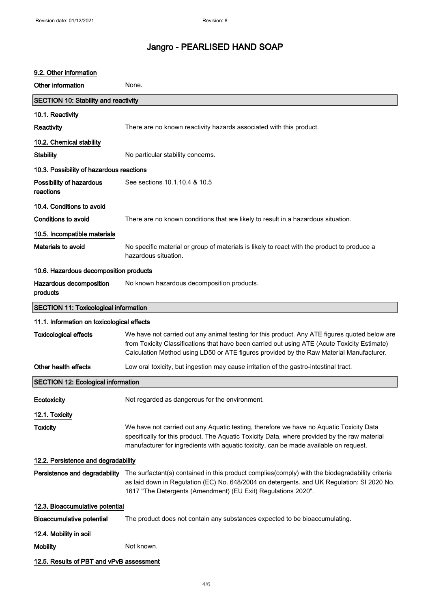### 9.2. Other information

| Other information                            | None.                                                                                                                                                                                                                                                                                    |  |
|----------------------------------------------|------------------------------------------------------------------------------------------------------------------------------------------------------------------------------------------------------------------------------------------------------------------------------------------|--|
| <b>SECTION 10: Stability and reactivity</b>  |                                                                                                                                                                                                                                                                                          |  |
| 10.1. Reactivity                             |                                                                                                                                                                                                                                                                                          |  |
| <b>Reactivity</b>                            | There are no known reactivity hazards associated with this product.                                                                                                                                                                                                                      |  |
| 10.2. Chemical stability                     |                                                                                                                                                                                                                                                                                          |  |
| <b>Stability</b>                             | No particular stability concerns.                                                                                                                                                                                                                                                        |  |
| 10.3. Possibility of hazardous reactions     |                                                                                                                                                                                                                                                                                          |  |
| Possibility of hazardous<br>reactions        | See sections 10.1, 10.4 & 10.5                                                                                                                                                                                                                                                           |  |
| 10.4. Conditions to avoid                    |                                                                                                                                                                                                                                                                                          |  |
| <b>Conditions to avoid</b>                   | There are no known conditions that are likely to result in a hazardous situation.                                                                                                                                                                                                        |  |
| 10.5. Incompatible materials                 |                                                                                                                                                                                                                                                                                          |  |
| Materials to avoid                           | No specific material or group of materials is likely to react with the product to produce a<br>hazardous situation.                                                                                                                                                                      |  |
| 10.6. Hazardous decomposition products       |                                                                                                                                                                                                                                                                                          |  |
| Hazardous decomposition<br>products          | No known hazardous decomposition products.                                                                                                                                                                                                                                               |  |
| <b>SECTION 11: Toxicological information</b> |                                                                                                                                                                                                                                                                                          |  |
| 11.1. Information on toxicological effects   |                                                                                                                                                                                                                                                                                          |  |
| <b>Toxicological effects</b>                 | We have not carried out any animal testing for this product. Any ATE figures quoted below are<br>from Toxicity Classifications that have been carried out using ATE (Acute Toxicity Estimate)<br>Calculation Method using LD50 or ATE figures provided by the Raw Material Manufacturer. |  |
| Other health effects                         | Low oral toxicity, but ingestion may cause irritation of the gastro-intestinal tract.                                                                                                                                                                                                    |  |
| <b>SECTION 12: Ecological information</b>    |                                                                                                                                                                                                                                                                                          |  |
| Ecotoxicity                                  | Not regarded as dangerous for the environment.                                                                                                                                                                                                                                           |  |
| 12.1. Toxicity                               |                                                                                                                                                                                                                                                                                          |  |
| <b>Toxicity</b>                              | We have not carried out any Aquatic testing, therefore we have no Aquatic Toxicity Data<br>specifically for this product. The Aquatic Toxicity Data, where provided by the raw material<br>manufacturer for ingredients with aquatic toxicity, can be made available on request.         |  |
| 12.2. Persistence and degradability          |                                                                                                                                                                                                                                                                                          |  |
| Persistence and degradability                | The surfactant(s) contained in this product complies(comply) with the biodegradability criteria<br>as laid down in Regulation (EC) No. 648/2004 on detergents. and UK Regulation: SI 2020 No.<br>1617 "The Detergents (Amendment) (EU Exit) Regulations 2020".                           |  |
| 12.3. Bioaccumulative potential              |                                                                                                                                                                                                                                                                                          |  |
| <b>Bioaccumulative potential</b>             | The product does not contain any substances expected to be bioaccumulating.                                                                                                                                                                                                              |  |
| 12.4. Mobility in soil                       |                                                                                                                                                                                                                                                                                          |  |
| <b>Mobility</b>                              | Not known.                                                                                                                                                                                                                                                                               |  |
| 12.5. Results of PBT and vPvB assessment     |                                                                                                                                                                                                                                                                                          |  |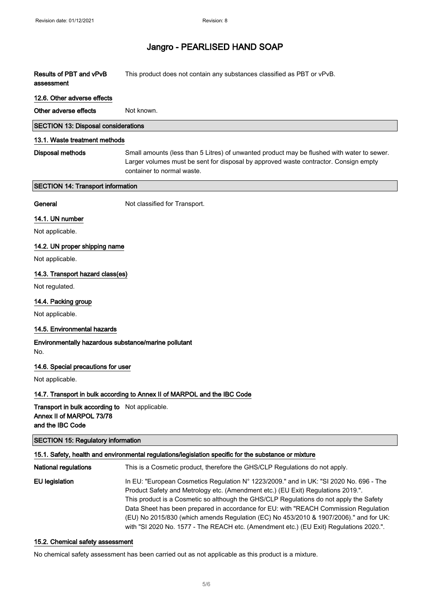| Results of PBT and vPvB<br>assessment                                                                 | This product does not contain any substances classified as PBT or vPvB.                                                                                                                                                                                                                                                                                                                                                                               |  |
|-------------------------------------------------------------------------------------------------------|-------------------------------------------------------------------------------------------------------------------------------------------------------------------------------------------------------------------------------------------------------------------------------------------------------------------------------------------------------------------------------------------------------------------------------------------------------|--|
| 12.6. Other adverse effects                                                                           |                                                                                                                                                                                                                                                                                                                                                                                                                                                       |  |
| Other adverse effects                                                                                 | Not known.                                                                                                                                                                                                                                                                                                                                                                                                                                            |  |
| <b>SECTION 13: Disposal considerations</b>                                                            |                                                                                                                                                                                                                                                                                                                                                                                                                                                       |  |
| 13.1. Waste treatment methods                                                                         |                                                                                                                                                                                                                                                                                                                                                                                                                                                       |  |
| <b>Disposal methods</b>                                                                               | Small amounts (less than 5 Litres) of unwanted product may be flushed with water to sewer.<br>Larger volumes must be sent for disposal by approved waste contractor. Consign empty<br>container to normal waste.                                                                                                                                                                                                                                      |  |
| <b>SECTION 14: Transport information</b>                                                              |                                                                                                                                                                                                                                                                                                                                                                                                                                                       |  |
| General                                                                                               | Not classified for Transport.                                                                                                                                                                                                                                                                                                                                                                                                                         |  |
| 14.1. UN number                                                                                       |                                                                                                                                                                                                                                                                                                                                                                                                                                                       |  |
| Not applicable.                                                                                       |                                                                                                                                                                                                                                                                                                                                                                                                                                                       |  |
| 14.2. UN proper shipping name                                                                         |                                                                                                                                                                                                                                                                                                                                                                                                                                                       |  |
| Not applicable.                                                                                       |                                                                                                                                                                                                                                                                                                                                                                                                                                                       |  |
| 14.3. Transport hazard class(es)                                                                      |                                                                                                                                                                                                                                                                                                                                                                                                                                                       |  |
| Not regulated.                                                                                        |                                                                                                                                                                                                                                                                                                                                                                                                                                                       |  |
| 14.4. Packing group                                                                                   |                                                                                                                                                                                                                                                                                                                                                                                                                                                       |  |
| Not applicable.                                                                                       |                                                                                                                                                                                                                                                                                                                                                                                                                                                       |  |
| 14.5. Environmental hazards                                                                           |                                                                                                                                                                                                                                                                                                                                                                                                                                                       |  |
| Environmentally hazardous substance/marine pollutant<br>No.                                           |                                                                                                                                                                                                                                                                                                                                                                                                                                                       |  |
| 14.6. Special precautions for user                                                                    |                                                                                                                                                                                                                                                                                                                                                                                                                                                       |  |
| Not applicable.                                                                                       |                                                                                                                                                                                                                                                                                                                                                                                                                                                       |  |
| 14.7. Transport in bulk according to Annex II of MARPOL and the IBC Code                              |                                                                                                                                                                                                                                                                                                                                                                                                                                                       |  |
| <b>Transport in bulk according to</b> Not applicable.<br>Annex II of MARPOL 73/78<br>and the IBC Code |                                                                                                                                                                                                                                                                                                                                                                                                                                                       |  |
| <b>SECTION 15: Regulatory information</b>                                                             |                                                                                                                                                                                                                                                                                                                                                                                                                                                       |  |
|                                                                                                       | 15.1. Safety, health and environmental regulations/legislation specific for the substance or mixture                                                                                                                                                                                                                                                                                                                                                  |  |
| <b>National regulations</b>                                                                           | This is a Cosmetic product, therefore the GHS/CLP Regulations do not apply.                                                                                                                                                                                                                                                                                                                                                                           |  |
| <b>EU</b> legislation                                                                                 | In EU: "European Cosmetics Regulation N° 1223/2009." and in UK: "SI 2020 No. 696 - The<br>Product Safety and Metrology etc. (Amendment etc.) (EU Exit) Regulations 2019.".<br>This product is a Cosmetic so although the GHS/CLP Regulations do not apply the Safety<br>Data Sheet has been prepared in accordance for EU: with "REACH Commission Regulation<br>(EU) No 2015/830 (which amends Regulation (EC) No 453/2010 & 1907/2006)." and for UK: |  |

#### 15.2. Chemical safety assessment

No chemical safety assessment has been carried out as not applicable as this product is a mixture.

with "SI 2020 No. 1577 - The REACH etc. (Amendment etc.) (EU Exit) Regulations 2020.".